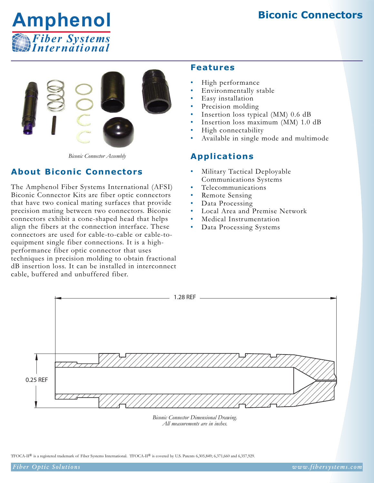# **Biconic Connectors**





*Biconic Connector Assembly*

# **About Biconic Connectors**

The Amphenol Fiber Systems International (AFSI) Biconic Connector Kits are fiber optic connectors that have two conical mating surfaces that provide precision mating between two connectors. Biconic connectors exhibit a cone-shaped head that helps align the fibers at the connection interface. These connectors are used for cable-to-cable or cable-toequipment single fiber connections. It is a highperformance fiber optic connector that uses techniques in precision molding to obtain fractional dB insertion loss. It can be installed in interconnect cable, buffered and unbuffered fiber.

## **Features**

- High performance
- Environmentally stable
- Easy installation
- Precision molding
- Insertion loss typical (MM) 0.6 dB
- Insertion loss maximum (MM) 1.0 dB
- High connectability
- Available in single mode and multimode

## **Applications**

- Military Tactical Deployable Communications Systems
- Telecommunications
- Remote Sensing
- Data Processing
- Local Area and Premise Network
- Medical Instrumentation
- Data Processing Systems



*Biconic Connector Dimensional Drawing. All measurements are in inches.*

TFOCA-II<sup>®</sup> is a registered trademark of Fiber Systems International. TFOCA-II<sup>®</sup> is covered by U.S. Patents 6,305,849; 6,371,660 and 6,357,929.